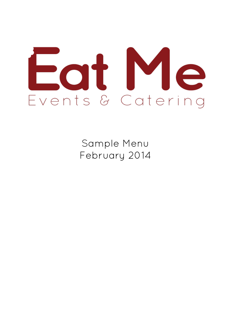

Sample Menu February 2014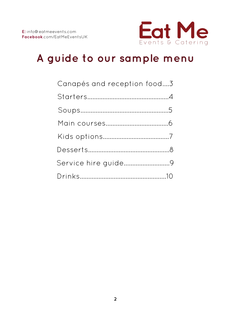

# **A guide to our sample menu**

| Canapés and reception food3 |
|-----------------------------|
|                             |
|                             |
|                             |
|                             |
|                             |
| Service hire guide9         |
|                             |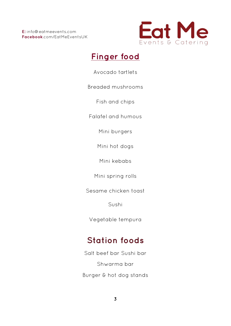

# **Finger food**

Avocado tartlets

Breaded mushrooms

Fish and chips

Falafel and humous

Mini burgers

Mini hot dogs

Mini kebabs

Mini spring rolls

Sesame chicken toast

Sushi

Vegetable tempura

# **Station foods**

Salt beef bar Sushi bar Shwarma bar Burger & hot dog stands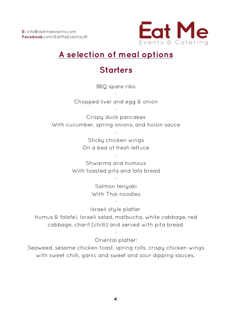

# **A selection of meal options**

# **Starters**

BBQ spare ribs

- Chopped liver and egg & onion

-

Crispy duck pancakes With cucumber, spring onions, and hoisin sauce

-

Sticky chicken wings On a bed of fresh lettuce

Shwarma and humous With toasted pita and lafa bread

-

Salmon teriyaki With Thai noodles

-

Israeli style platter

-

Humus & falafel, Israeli salad, matbucha, white cabbage, red cabbage, charif (chilli) and served with pita bread

> - Oriental platter:

Seaweed, sesame chicken toast, spring rolls, crispy chicken wings with sweet chilli, garlic and sweet and sour dipping sauces.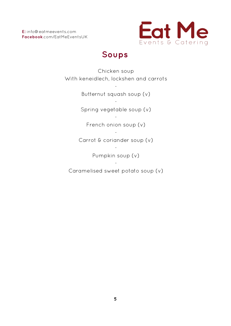**E:** info@eatmeevents.com **Facebook**.com/EatMeEventsUK



### **Soups**

Chicken soup With keneidlech, lockshen and carrots

> - Butternut squash soup (v)

> - Spring vegetable soup (v)

- French onion soup (v)

- Carrot & coriander soup (v)

-

Pumpkin soup (v)

- Caramelised sweet potato soup (v)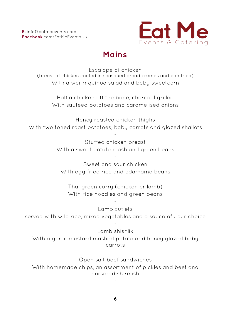

### **Mains**

Escalope of chicken (breast of chicken coated in seasoned bread crumbs and pan fried) With a warm quinoa salad and baby sweetcorn

Half a chicken off the bone, charcoal grilled With saute<sup>ed</sup> potatoes and caramelised onions

-

Honey roasted chicken thighs With two toned roast potatoes, baby carrots and glazed shallots

-

-

Stuffed chicken breast With a sweet potato mash and green beans

Sweet and sour chicken With egg fried rice and edamame beans

-

-

Thai green curry (chicken or lamb) With rice noodles and green beans

-

Lamb cutlets served with wild rice, mixed vegetables and a sauce of your choice

#### Lamb shishlik

-

With a garlic mustard mashed potato and honey glazed baby carrots

> - Open salt beef sandwiches

With homemade chips, an assortment of pickles and beet and horseradish relish

-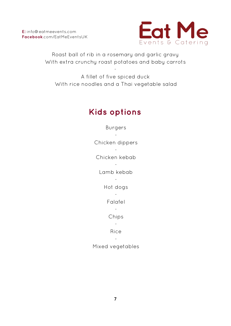

Roast ball of rib in a rosemary and garlic gravy With extra crunchy roast potatoes and baby carrots

-

A fillet of five spiced duck With rice noodles and a Thai vegetable salad

## **Kids options**

Burgers - Chicken dippers - Chicken kebab - Lamb kebab - Hot dogs - Falafel - Chips - Rice - Mixed vegetables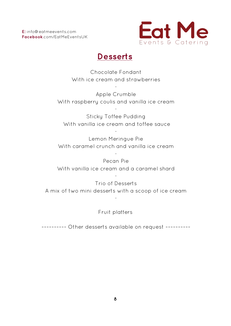

### **Desserts**

Chocolate Fondant With ice cream and strawberries

-

Apple Crumble With raspberry coulis and vanilla ice cream

-

Sticky Toffee Pudding With vanilla ice cream and toffee sauce

Lemon Meringue Pie With caramel crunch and vanilla ice cream

-

-

Pecan Pie With vanilla ice cream and a caramel shard

Trio of Desserts A mix of two mini desserts with a scoop of ice cream

-

-

#### Fruit platters

~~~~~~~~~~ Other desserts available on request ~~~~~~~~~~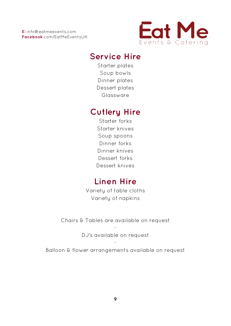

### **Service Hire**

Starter plates Soup bowls Dinner plates Dessert plates Glassware

### **Cutlery Hire**

Starter forks Starter knives Soup spoons Dinner forks Dinner knives Dessert forks Dessert knives

# **Linen Hire**

Variety of table cloths Variety of napkins

Chairs & Tables are available on request

- DJ's available on request

- Balloon & flower arrangements available on request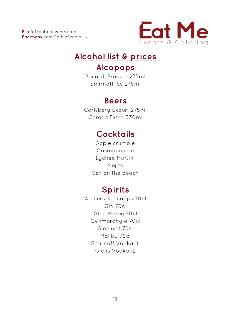

# **Alcohol list & prices**

### **Alcopops**

Bacardi Breezer 275ml Smirnoff Ice 275ml

# **Beers**

Carlsberg Export 275ml Corona Extra 330ml

# **Cocktails**

Apple crumble Cosmopolitan Lychee Martini Mojito Sex on the beach

# **Spirits**

Archers Schnapps 70cl Gin 70cl Glen Moray 70cl Genmorangie 70cl Glenlivet 70cl Malibu 70cl Smirnoff Vodka 1L Glens Vodka 1L